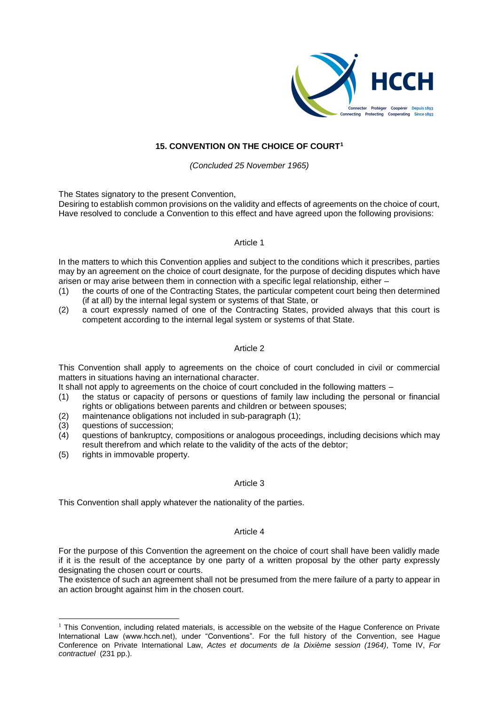

# **15. CONVENTION ON THE CHOICE OF COURT<sup>1</sup>**

*(Concluded 25 November 1965)* 

The States signatory to the present Convention,

Desiring to establish common provisions on the validity and effects of agreements on the choice of court, Have resolved to conclude a Convention to this effect and have agreed upon the following provisions:

### Article 1

In the matters to which this Convention applies and subject to the conditions which it prescribes, parties may by an agreement on the choice of court designate, for the purpose of deciding disputes which have arisen or may arise between them in connection with a specific legal relationship, either –

- (1) the courts of one of the Contracting States, the particular competent court being then determined (if at all) by the internal legal system or systems of that State, or
- (2) a court expressly named of one of the Contracting States, provided always that this court is competent according to the internal legal system or systems of that State.

## Article 2

This Convention shall apply to agreements on the choice of court concluded in civil or commercial matters in situations having an international character.

It shall not apply to agreements on the choice of court concluded in the following matters –

- (1) the status or capacity of persons or questions of family law including the personal or financial rights or obligations between parents and children or between spouses;
- (2) maintenance obligations not included in sub-paragraph (1);
- (3) questions of succession;
- (4) questions of bankruptcy, compositions or analogous proceedings, including decisions which may result therefrom and which relate to the validity of the acts of the debtor;
- (5) rights in immovable property.

### Article 3

This Convention shall apply whatever the nationality of the parties.

### Article 4

For the purpose of this Convention the agreement on the choice of court shall have been validly made if it is the result of the acceptance by one party of a written proposal by the other party expressly designating the chosen court or courts.

The existence of such an agreement shall not be presumed from the mere failure of a party to appear in an action brought against him in the chosen court.

<sup>&</sup>lt;sup>1</sup> This Convention, including related materials, is accessible on the website of the Hague Conference on Private International Law (www.hcch.net), under "Conventions". For the full history of the Convention, see Hague Conference on Private International Law, *Actes et documents de la Dixième session (1964)*, Tome IV, *For contractuel* (231 pp.).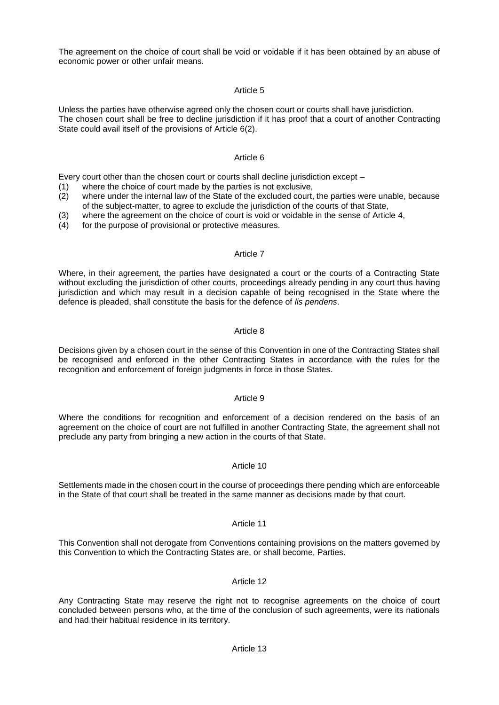The agreement on the choice of court shall be void or voidable if it has been obtained by an abuse of economic power or other unfair means.

## Article 5

Unless the parties have otherwise agreed only the chosen court or courts shall have jurisdiction. The chosen court shall be free to decline jurisdiction if it has proof that a court of another Contracting State could avail itself of the provisions of Article 6(2).

## Article 6

Every court other than the chosen court or courts shall decline jurisdiction except –

- (1) where the choice of court made by the parties is not exclusive,
- (2) where under the internal law of the State of the excluded court, the parties were unable, because of the subject-matter, to agree to exclude the jurisdiction of the courts of that State,
- (3) where the agreement on the choice of court is void or voidable in the sense of Article 4,
- (4) for the purpose of provisional or protective measures.

### Article 7

Where, in their agreement, the parties have designated a court or the courts of a Contracting State without excluding the jurisdiction of other courts, proceedings already pending in any court thus having jurisdiction and which may result in a decision capable of being recognised in the State where the defence is pleaded, shall constitute the basis for the defence of *lis pendens*.

## Article 8

Decisions given by a chosen court in the sense of this Convention in one of the Contracting States shall be recognised and enforced in the other Contracting States in accordance with the rules for the recognition and enforcement of foreign judgments in force in those States.

### Article 9

Where the conditions for recognition and enforcement of a decision rendered on the basis of an agreement on the choice of court are not fulfilled in another Contracting State, the agreement shall not preclude any party from bringing a new action in the courts of that State.

# Article 10

Settlements made in the chosen court in the course of proceedings there pending which are enforceable in the State of that court shall be treated in the same manner as decisions made by that court.

# Article 11

This Convention shall not derogate from Conventions containing provisions on the matters governed by this Convention to which the Contracting States are, or shall become, Parties.

# Article 12

Any Contracting State may reserve the right not to recognise agreements on the choice of court concluded between persons who, at the time of the conclusion of such agreements, were its nationals and had their habitual residence in its territory.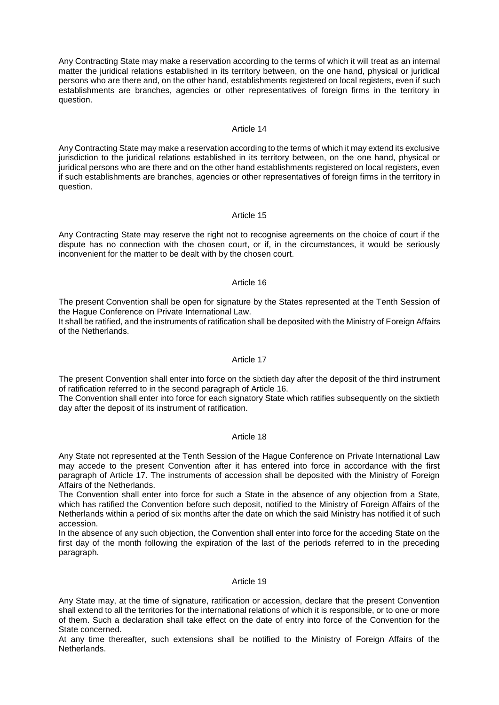Any Contracting State may make a reservation according to the terms of which it will treat as an internal matter the juridical relations established in its territory between, on the one hand, physical or juridical persons who are there and, on the other hand, establishments registered on local registers, even if such establishments are branches, agencies or other representatives of foreign firms in the territory in question.

#### Article 14

Any Contracting State may make a reservation according to the terms of which it may extend its exclusive jurisdiction to the juridical relations established in its territory between, on the one hand, physical or juridical persons who are there and on the other hand establishments registered on local registers, even if such establishments are branches, agencies or other representatives of foreign firms in the territory in question.

## Article 15

Any Contracting State may reserve the right not to recognise agreements on the choice of court if the dispute has no connection with the chosen court, or if, in the circumstances, it would be seriously inconvenient for the matter to be dealt with by the chosen court.

#### Article 16

The present Convention shall be open for signature by the States represented at the Tenth Session of the Hague Conference on Private International Law.

It shall be ratified, and the instruments of ratification shall be deposited with the Ministry of Foreign Affairs of the Netherlands.

### Article 17

The present Convention shall enter into force on the sixtieth day after the deposit of the third instrument of ratification referred to in the second paragraph of Article 16.

The Convention shall enter into force for each signatory State which ratifies subsequently on the sixtieth day after the deposit of its instrument of ratification.

#### Article 18

Any State not represented at the Tenth Session of the Hague Conference on Private International Law may accede to the present Convention after it has entered into force in accordance with the first paragraph of Article 17. The instruments of accession shall be deposited with the Ministry of Foreign Affairs of the Netherlands.

The Convention shall enter into force for such a State in the absence of any objection from a State, which has ratified the Convention before such deposit, notified to the Ministry of Foreign Affairs of the Netherlands within a period of six months after the date on which the said Ministry has notified it of such accession.

In the absence of any such objection, the Convention shall enter into force for the acceding State on the first day of the month following the expiration of the last of the periods referred to in the preceding paragraph.

## Article 19

Any State may, at the time of signature, ratification or accession, declare that the present Convention shall extend to all the territories for the international relations of which it is responsible, or to one or more of them. Such a declaration shall take effect on the date of entry into force of the Convention for the State concerned.

At any time thereafter, such extensions shall be notified to the Ministry of Foreign Affairs of the Netherlands.